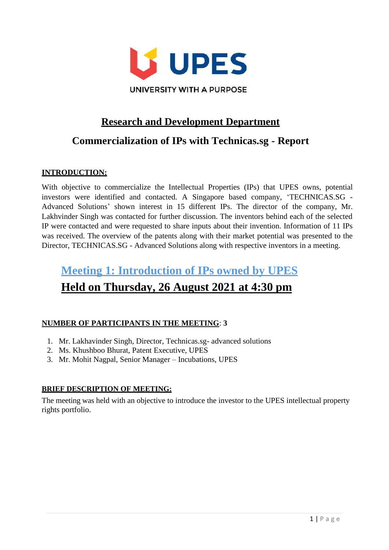

# **Research and Development Department**

# **Commercialization of IPs with Technicas.sg - Report**

#### **INTRODUCTION:**

With objective to commercialize the Intellectual Properties (IPs) that UPES owns, potential investors were identified and contacted. A Singapore based company, 'TECHNICAS.SG - Advanced Solutions' shown interest in 15 different IPs. The director of the company, Mr. Lakhvinder Singh was contacted for further discussion. The inventors behind each of the selected IP were contacted and were requested to share inputs about their invention. Information of 11 IPs was received. The overview of the patents along with their market potential was presented to the Director, TECHNICAS.SG - Advanced Solutions along with respective inventors in a meeting.

# **Meeting 1: Introduction of IPs owned by UPES Held on Thursday, 26 August 2021 at 4:30 pm**

### **NUMBER OF PARTICIPANTS IN THE MEETING**: **3**

- 1. Mr. Lakhavinder Singh, Director, Technicas.sg- advanced solutions
- 2. Ms. Khushboo Bhurat, Patent Executive, UPES
- 3. Mr. Mohit Nagpal, Senior Manager Incubations, UPES

#### **BRIEF DESCRIPTION OF MEETING:**

The meeting was held with an objective to introduce the investor to the UPES intellectual property rights portfolio.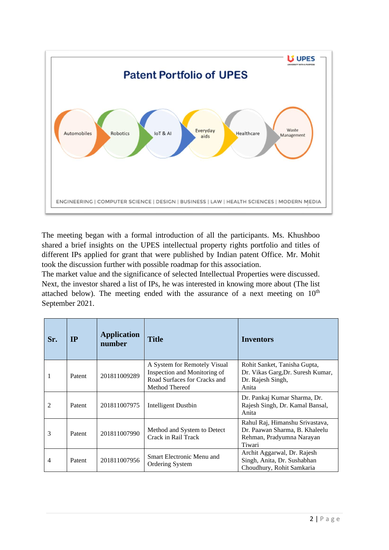

The meeting began with a formal introduction of all the participants. Ms. Khushboo shared a brief insights on the UPES intellectual property rights portfolio and titles of different IPs applied for grant that were published by Indian patent Office. Mr. Mohit took the discussion further with possible roadmap for this association.

The market value and the significance of selected Intellectual Properties were discussed. Next, the investor shared a list of IPs, he was interested in knowing more about (The list attached below). The meeting ended with the assurance of a next meeting on  $10<sup>th</sup>$ September 2021.

| Sr. | IP     | <b>Application</b><br>number | <b>Title</b>                                                                                                   | <b>Inventors</b>                                                                                         |  |
|-----|--------|------------------------------|----------------------------------------------------------------------------------------------------------------|----------------------------------------------------------------------------------------------------------|--|
|     | Patent | 201811009289                 | A System for Remotely Visual<br>Inspection and Monitoring of<br>Road Surfaces for Cracks and<br>Method Thereof | Rohit Sanket, Tanisha Gupta,<br>Dr. Vikas Garg, Dr. Suresh Kumar,<br>Dr. Rajesh Singh,<br>Anita          |  |
| 2   | Patent | 201811007975                 | Intelligent Dustbin                                                                                            | Dr. Pankaj Kumar Sharma, Dr.<br>Rajesh Singh, Dr. Kamal Bansal,<br>Anita                                 |  |
| 3   | Patent | 201811007990                 | Method and System to Detect<br>Crack in Rail Track                                                             | Rahul Raj, Himanshu Srivastava,<br>Dr. Paawan Sharma, B. Khaleelu<br>Rehman, Pradyumna Narayan<br>Tiwari |  |
|     | Patent | 201811007956                 | Smart Electronic Menu and<br><b>Ordering System</b>                                                            | Archit Aggarwal, Dr. Rajesh<br>Singh, Anita, Dr. Sushabhan<br>Choudhury, Rohit Samkaria                  |  |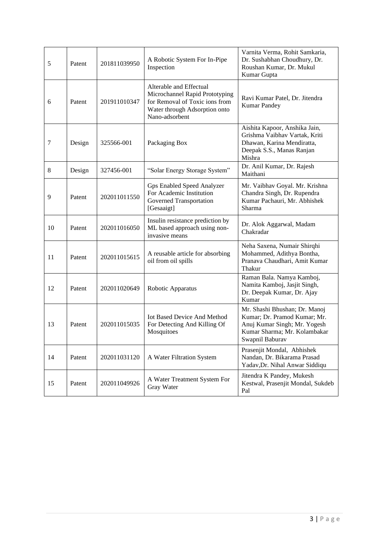| 5  | Patent | 201811039950 | A Robotic System For In-Pipe<br>Inspection                                                                                                     | Varnita Verma, Rohit Samkaria,<br>Dr. Sushabhan Choudhury, Dr.<br>Roushan Kumar, Dr. Mukul<br>Kumar Gupta                                        |  |
|----|--------|--------------|------------------------------------------------------------------------------------------------------------------------------------------------|--------------------------------------------------------------------------------------------------------------------------------------------------|--|
| 6  | Patent | 201911010347 | Alterable and Effectual<br>Microchannel Rapid Prototyping<br>for Removal of Toxic ions from<br>Water through Adsorption onto<br>Nano-adsorbent | Ravi Kumar Patel, Dr. Jitendra<br><b>Kumar Pandey</b>                                                                                            |  |
| 7  | Design | 325566-001   | Packaging Box                                                                                                                                  | Aishita Kapoor, Anshika Jain,<br>Grishma Vaibhav Vartak, Kriti<br>Dhawan, Karina Mendiratta,<br>Deepak S.S., Manas Ranjan<br>Mishra              |  |
| 8  | Design | 327456-001   | "Solar Energy Storage System"                                                                                                                  | Dr. Anil Kumar, Dr. Rajesh<br>Maithani                                                                                                           |  |
| 9  | Patent | 202011011550 | <b>Gps Enabled Speed Analyzer</b><br>For Academic Institution<br>Governed Transportation<br>[Gesaaigt]                                         | Mr. Vaibhav Goyal. Mr. Krishna<br>Chandra Singh, Dr. Rupendra<br>Kumar Pachauri, Mr. Abhishek<br>Sharma                                          |  |
| 10 | Patent | 202011016050 | Insulin resistance prediction by<br>ML based approach using non-<br>invasive means                                                             | Dr. Alok Aggarwal, Madam<br>Chakradar                                                                                                            |  |
| 11 | Patent | 202011015615 | A reusable article for absorbing<br>oil from oil spills                                                                                        | Neha Saxena, Numair Shirqhi<br>Mohammed, Adithya Bontha,<br>Pranava Chaudhari, Amit Kumar<br>Thakur                                              |  |
| 12 | Patent | 202011020649 | Robotic Apparatus                                                                                                                              | Raman Bala. Namya Kamboj,<br>Namita Kamboj, Jasjit Singh,<br>Dr. Deepak Kumar, Dr. Ajay<br>Kumar                                                 |  |
| 13 | Patent | 202011015035 | <b>Iot Based Device And Method</b><br>For Detecting And Killing Of<br>Mosquitoes                                                               | Mr. Shashi Bhushan; Dr. Manoj<br>Kumar; Dr. Pramod Kumar; Mr.<br>Anuj Kumar Singh; Mr. Yogesh<br>Kumar Sharma; Mr. Kolambakar<br>Swapnil Baburav |  |
| 14 | Patent | 202011031120 | A Water Filtration System                                                                                                                      | Prasenjit Mondal, Abhishek<br>Nandan, Dr. Bikarama Prasad<br>Yadav, Dr. Nihal Anwar Siddiqu                                                      |  |
| 15 | Patent | 202011049926 | A Water Treatment System For<br>Gray Water                                                                                                     | Jitendra K Pandey, Mukesh<br>Kestwal, Prasenjit Mondal, Sukdeb<br>Pal                                                                            |  |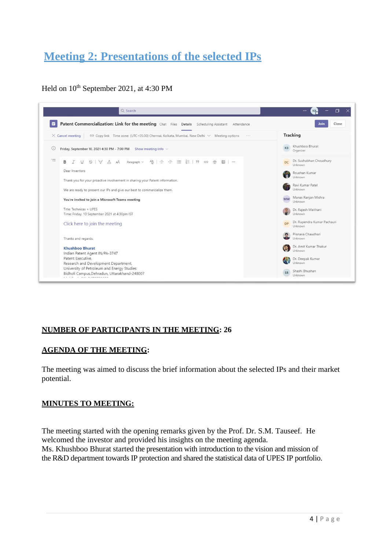# **Meeting 2: Presentations of the selected IPs**

Held on  $10^{th}$  September 2021, at 4:30 PM

| Patent Commercialization: Link for the meeting Chat Files Details Scheduling Assistant Attendance                              | <b>Join</b><br>Close                                |
|--------------------------------------------------------------------------------------------------------------------------------|-----------------------------------------------------|
| $\times$ Cancel meeting<br>∈ Copy link Time zone: (UTC+05:30) Chennai, Kolkata, Mumbai, New Delhi V Meeting options<br>1.1.1   | <b>Tracking</b>                                     |
| Friday, September 10, 2021 4:30 PM - 7:00 PM Show meeting info $\vee$                                                          | Khushboo Bhurat<br>KB<br>Organizer                  |
| B<br>$S \mid \forall$<br>$A$ AA Paragraph $\vee$<br>Ab   는 - 는<br>U<br>三<br>$\equiv$ 99<br>$\Leftrightarrow$ $\equiv$<br>用<br> | Dr. Sushabhan Choudhury<br>DC<br>Unknown            |
| Dear Inventors                                                                                                                 | Roushan Kumar                                       |
| Thank you for your proactive involvement in sharing your Patent information.                                                   | Unknown                                             |
| We are ready to present our IPs and give our best to commercialize them.                                                       | Ravi Kumar Patel<br>Unknown                         |
| You're invited to join a Microsoft Teams meeting                                                                               | Manas Ranjan Mishra<br><b>MM</b><br>Unknown         |
| Title: Technicas + UPES                                                                                                        | Dr. Rajesh Maithani                                 |
| Time: Friday, 10 September 2021 at 4:30pm IST                                                                                  | Unknown                                             |
| Click here to join the meeting                                                                                                 | Dr. Rupendra Kumar Pachauri<br><b>DP</b><br>Unknown |
| Thanks and regards,                                                                                                            | Pranava Chaudhari<br>G<br>Unknown                   |
| <b>Khushboo Bhurat</b>                                                                                                         | Dr. Amit Kumar Thakur<br>嬗                          |
| Indian Patent Agent IN/PA-3747                                                                                                 | Unknown                                             |
| Patent Executive.<br>Research and Development Department,                                                                      | Dr. Deepak Kumar<br>Unknown                         |

## **NUMBER OF PARTICIPANTS IN THE MEETING: 26**

### **AGENDA OF THE MEETING:**

The meeting was aimed to discuss the brief information about the selected IPs and their market potential.

#### **MINUTES TO MEETING:**

The meeting started with the opening remarks given by the Prof. Dr. S.M. Tauseef. He welcomed the investor and provided his insights on the meeting agenda. Ms. Khushboo Bhurat started the presentation with introduction to the vision and mission of the R&D department towards IP protection and shared the statistical data of UPES IP portfolio.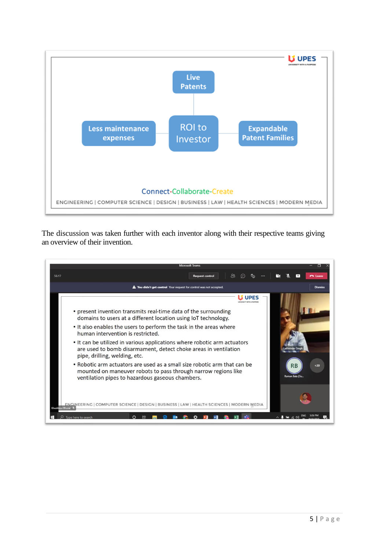

The discussion was taken further with each inventor along with their respective teams giving an overview of their invention.

| Microsoft Teams                                                                                                                                                                                |                                        |
|------------------------------------------------------------------------------------------------------------------------------------------------------------------------------------------------|----------------------------------------|
| ക്ട<br>56:17<br><b>Request control</b>                                                                                                                                                         | n Leave                                |
| A You didn't get control Your request for control was not accepted.                                                                                                                            | <b>Dismiss</b>                         |
| <b>UPES</b>                                                                                                                                                                                    |                                        |
| • present invention transmits real-time data of the surrounding<br>domains to users at a different location using IoT technology.                                                              |                                        |
| • It also enables the users to perform the task in the areas where<br>human intervention is restricted.                                                                                        |                                        |
| • It can be utilized in various applications where robotic arm actuators<br>are used to bomb disarmament, detect choke areas in ventilation<br>pipe, drilling, welding, etc.                   |                                        |
| • Robotic arm actuators are used as a small size robotic arm that can be<br>mounted on maneuver robots to pass through narrow regions like<br>ventilation pipes to hazardous gaseous chambers. | <b>RB</b><br>$+20$<br>Raman Bala (Gu., |
| ENGINEERING   COMPUTER SCIENCE   DESIGN   BUSINESS   LAW   HEALTH SCIENCES   MODERN MEDIA<br>Khushboo Bhurat                                                                                   |                                        |
| Type here to search                                                                                                                                                                            |                                        |